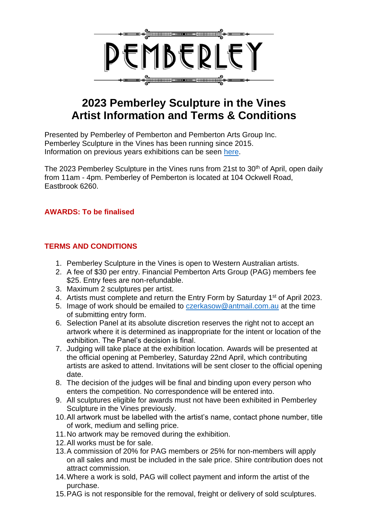

# **2023 Pemberley Sculpture in the Vines Artist Information and Terms & Conditions**

Presented by Pemberley of Pemberton and Pemberton Arts Group Inc. Pemberley Sculpture in the Vines has been running since 2015. Information on previous years exhibitions can be seen [here.](https://www.pemberleyofpemberton.com/sculpture-in-the-vines)

The 2023 Pemberley Sculpture in the Vines runs from 21st to 30<sup>th</sup> of April, open daily from 11am - 4pm. Pemberley of Pemberton is located at 104 Ockwell Road, Eastbrook 6260.

#### **AWARDS: To be finalised**

### **TERMS AND CONDITIONS**

- 1. Pemberley Sculpture in the Vines is open to Western Australian artists.
- 2. A fee of \$30 per entry. Financial Pemberton Arts Group (PAG) members fee \$25. Entry fees are non-refundable.
- 3. Maximum 2 sculptures per artist.
- 4. Artists must complete and return the Entry Form by Saturday 1<sup>st</sup> of April 2023.
- 5. Image of work should be emailed to [czerkasow@antmail.com.au](mailto:czerkasow@antmail.com.au) at the time of submitting entry form.
- 6. Selection Panel at its absolute discretion reserves the right not to accept an artwork where it is determined as inappropriate for the intent or location of the exhibition. The Panel's decision is final.
- 7. Judging will take place at the exhibition location. Awards will be presented at the official opening at Pemberley, Saturday 22nd April, which contributing artists are asked to attend. Invitations will be sent closer to the official opening date.
- 8. The decision of the judges will be final and binding upon every person who enters the competition. No correspondence will be entered into.
- 9. All sculptures eligible for awards must not have been exhibited in Pemberley Sculpture in the Vines previously.
- 10.All artwork must be labelled with the artist's name, contact phone number, title of work, medium and selling price.
- 11.No artwork may be removed during the exhibition.
- 12.All works must be for sale.
- 13.A commission of 20% for PAG members or 25% for non-members will apply on all sales and must be included in the sale price. Shire contribution does not attract commission.
- 14.Where a work is sold, PAG will collect payment and inform the artist of the purchase.
- 15.PAG is not responsible for the removal, freight or delivery of sold sculptures.